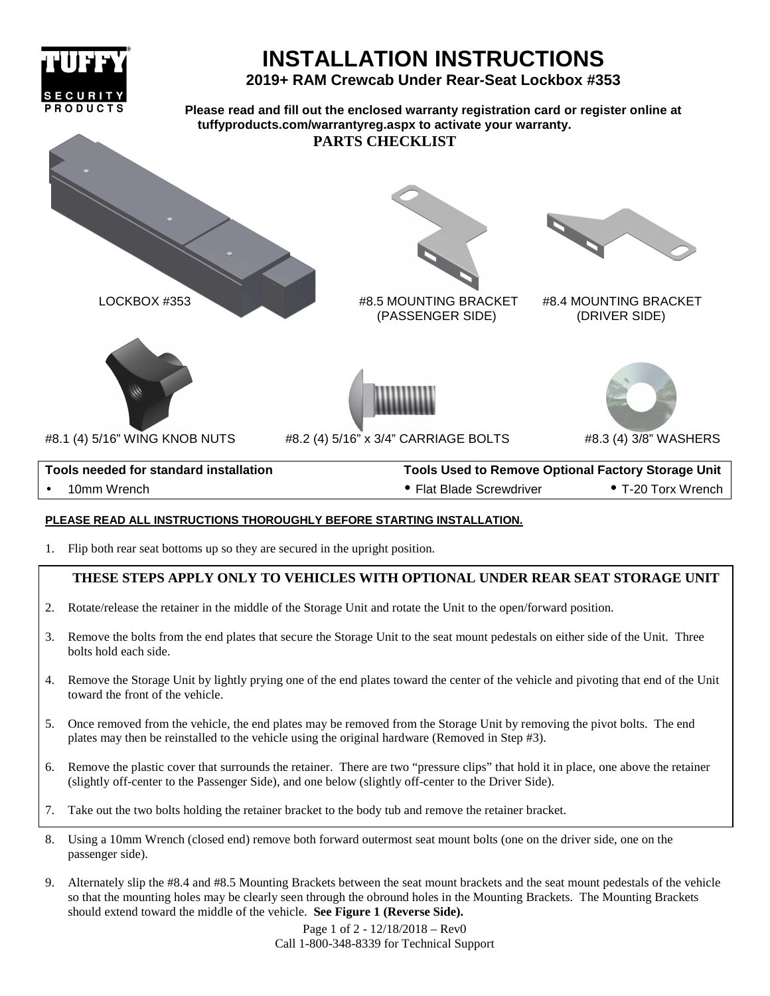

## **PLEASE READ ALL INSTRUCTIONS THOROUGHLY BEFORE STARTING INSTALLATION.**

1. Flip both rear seat bottoms up so they are secured in the upright position.

## **THESE STEPS APPLY ONLY TO VEHICLES WITH OPTIONAL UNDER REAR SEAT STORAGE UNIT**

- 2. Rotate/release the retainer in the middle of the Storage Unit and rotate the Unit to the open/forward position.
- 3. Remove the bolts from the end plates that secure the Storage Unit to the seat mount pedestals on either side of the Unit. Three bolts hold each side.
- 4. Remove the Storage Unit by lightly prying one of the end plates toward the center of the vehicle and pivoting that end of the Unit toward the front of the vehicle.
- 5. Once removed from the vehicle, the end plates may be removed from the Storage Unit by removing the pivot bolts. The end plates may then be reinstalled to the vehicle using the original hardware (Removed in Step #3).
- 6. Remove the plastic cover that surrounds the retainer. There are two "pressure clips" that hold it in place, one above the retainer (slightly off-center to the Passenger Side), and one below (slightly off-center to the Driver Side).
- 7. Take out the two bolts holding the retainer bracket to the body tub and remove the retainer bracket.
- 8. Using a 10mm Wrench (closed end) remove both forward outermost seat mount bolts (one on the driver side, one on the passenger side).
- 9. Alternately slip the #8.4 and #8.5 Mounting Brackets between the seat mount brackets and the seat mount pedestals of the vehicle so that the mounting holes may be clearly seen through the obround holes in the Mounting Brackets. The Mounting Brackets should extend toward the middle of the vehicle. **See Figure 1 (Reverse Side).**

Page 1 of 2 - 12/18/2018 – Rev0 Call 1-800-348-8339 for Technical Support